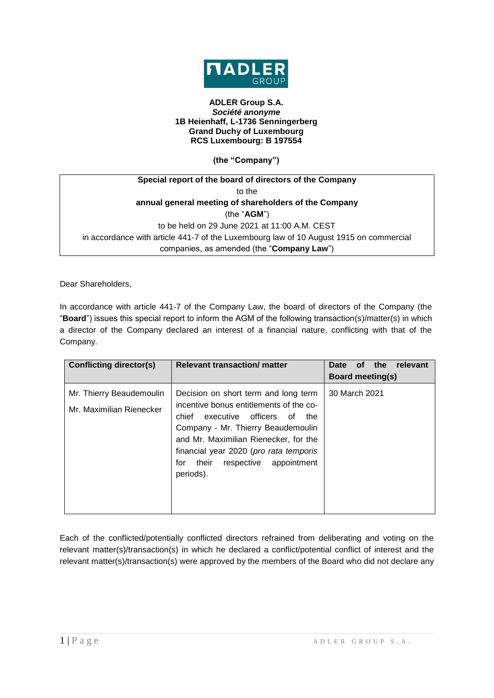

## **ADLER Group S.A.** *Société anonyme* **1B Heienhaff, L-1736 Senningerberg Grand Duchy of Luxembourg RCS Luxembourg: B 197554**

**(the "Company")**

| Special report of the board of directors of the Company                                |  |  |
|----------------------------------------------------------------------------------------|--|--|
| to the                                                                                 |  |  |
| annual general meeting of shareholders of the Company                                  |  |  |
| (the " $AGM$ ")                                                                        |  |  |
| to be held on 29 June 2021 at 11:00 A.M. CEST                                          |  |  |
| in accordance with article 441-7 of the Luxembourg law of 10 August 1915 on commercial |  |  |
| companies, as amended (the "Company Law")                                              |  |  |

Dear Shareholders,

In accordance with article 441-7 of the Company Law, the board of directors of the Company (the "**Board**") issues this special report to inform the AGM of the following transaction(s)/matter(s) in which a director of the Company declared an interest of a financial nature, conflicting with that of the Company.

| Conflicting director(s)                              | <b>Relevant transaction/ matter</b>                                                                                                                                                                                                                                                                               | the<br>relevant<br><b>Date</b><br><b>of</b><br><b>Board meeting(s)</b> |
|------------------------------------------------------|-------------------------------------------------------------------------------------------------------------------------------------------------------------------------------------------------------------------------------------------------------------------------------------------------------------------|------------------------------------------------------------------------|
| Mr. Thierry Beaudemoulin<br>Mr. Maximilian Rienecker | Decision on short term and long term<br>incentive bonus entitlements of the co-<br>executive<br>officers<br>chief<br>οf<br>the<br>Company - Mr. Thierry Beaudemoulin<br>and Mr. Maximilian Rienecker, for the<br>financial year 2020 (pro rata temporis<br>their<br>respective<br>appointment<br>for<br>periods). | 30 March 2021                                                          |

Each of the conflicted/potentially conflicted directors refrained from deliberating and voting on the relevant matter(s)/transaction(s) in which he declared a conflict/potential conflict of interest and the relevant matter(s)/transaction(s) were approved by the members of the Board who did not declare any